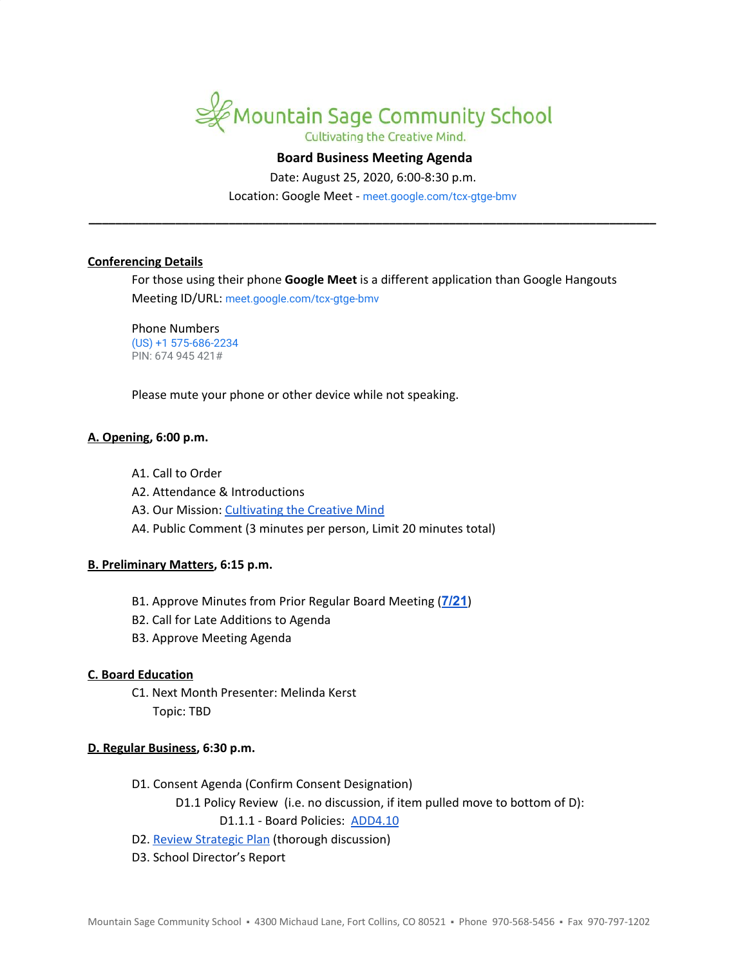

## **Board Business Meeting Agenda**

Date: August 25, 2020, 6:00-8:30 p.m.

Location: Google Meet - [meet.google.com/tcx-gtge-bmv](https://meet.google.com/tcx-gtge-bmv?hs=122&authuser=2) **\_\_\_\_\_\_\_\_\_\_\_\_\_\_\_\_\_\_\_\_\_\_\_\_\_\_\_\_\_\_\_\_\_\_\_\_\_\_\_\_\_\_\_\_\_\_\_\_\_\_\_\_\_\_\_\_\_\_\_\_\_\_\_\_\_\_\_\_\_\_\_\_\_\_\_\_\_\_\_\_\_\_\_\_\_**

### **Conferencing Details**

For those using their phone **Google Meet** is a different application than Google Hangouts Meeting ID/URL: [meet.google.com/tcx-gtge-bmv](https://meet.google.com/tcx-gtge-bmv?hs=122&authuser=2)

Phone Numbers (US) +1 575-686-2234 PIN: 674 945 421#

Please mute your phone or other device while not speaking.

#### **A. Opening, 6:00 p.m.**

- A1. Call to Order
- A2. Attendance & Introductions
- A3. Our Mission: [Cultivating](https://www.mountainsage.org/about-us/mission-and-vision/) the Creative Mind
- A4. Public Comment (3 minutes per person, Limit 20 minutes total)

#### **B. Preliminary Matters, 6:15 p.m.**

- B1. Approve Minutes from Prior Regular Board Meeting (**[7/21](https://docs.google.com/document/d/1Z3G_5MAoRFWfZFpiGAtwJzgIOcYy3ueYOTUYmRsQyuc)**)
- B2. Call for Late Additions to Agenda
- B3. Approve Meeting Agenda

#### **C. Board Education**

C1. Next Month Presenter: Melinda Kerst Topic: TBD

### **D. Regular Business, 6:30 p.m.**

- D1. Consent Agenda (Confirm Consent Designation)
	- D1.1 Policy Review (i.e. no discussion, if item pulled move to bottom of D):

D1.1.1 - Board Policies: [ADD4.10](https://docs.google.com/document/d/1V3xXA9nFS1VysNA0KFmEQ4u6WqqhQFkELG6kWdBkEkM)

- D2. Review [Strategic](https://drive.google.com/file/d/1bIEAL8S8NnDx9PPJRR79h1dLsXFMCh-t/view?usp=sharing) Plan (thorough discussion)
- D3. School Director's Report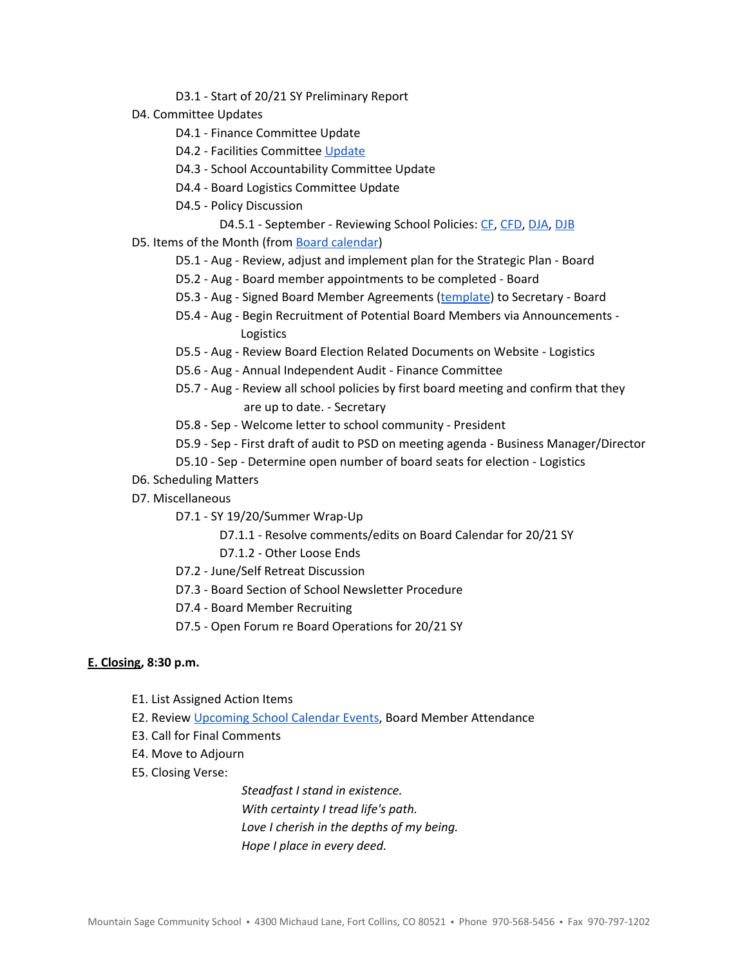- D3.1 Start of 20/21 SY Preliminary Report
- D4. Committee Updates
	- D4.1 Finance Committee Update
	- D4.2 Facilities Committee [Update](https://docs.google.com/document/d/1DlwFdowe4j23JcKTlRKnP-JlV_-hENN-A4yHOrtyekQ/edit)
	- D4.3 School Accountability Committee Update
	- D4.4 Board Logistics Committee Update
	- D4.5 Policy Discussion
		- D4.5.1 September Reviewing School Policies: [CF](https://drive.google.com/open?id=1Xxv2T6bQArqSfjBd4NWvmduf7cER1CPDxfaR-UgM4ik), [CFD,](https://drive.google.com/open?id=1pmw9tX3WnFFmGuxgkjZ-Bmnv9B-qH_WDH1cjkRhDlqc) [DJA,](https://drive.google.com/open?id=1oNPkij6QxnnLRpaLnsPPV7DWoyXqQcGe_oM_2CjkPSg) [DJB](https://drive.google.com/open?id=11I7KnqlJ6R5EJmYRfi3xjFpkdvCUzZPihKCKHFzdwsg)
- D5. Items of the Month (from Board [calendar](https://docs.google.com/document/d/12S6s-qevYMsnj8Cr2yw6uMO7S7hL3gz2oKvXZk5ZndQ/edit?usp=sharing))
	- D5.1 Aug Review, adjust and implement plan for the Strategic Plan Board
	- D5.2 Aug Board member appointments to be completed Board
	- D5.3 Aug Signed Board Member Agreements ([template](https://docs.google.com/document/d/1f6elj5bnQttIrJOPn2ZzBBbBHHvJk2Kn3kGwIwJ7uYs)) to Secretary Board
	- D5.4 Aug Begin Recruitment of Potential Board Members via Announcements Logistics
	- D5.5 Aug Review Board Election Related Documents on Website Logistics
	- D5.6 Aug Annual Independent Audit Finance Committee
	- D5.7 Aug Review all school policies by first board meeting and confirm that they are up to date. - Secretary
	- D5.8 Sep Welcome letter to school community President
	- D5.9 Sep First draft of audit to PSD on meeting agenda Business Manager/Director
	- D5.10 Sep Determine open number of board seats for election Logistics
- D6. Scheduling Matters
- D7. Miscellaneous
	- D7.1 SY 19/20/Summer Wrap-Up
		- D7.1.1 Resolve comments/edits on Board Calendar for 20/21 SY
		- D7.1.2 Other Loose Ends
	- D7.2 June/Self Retreat Discussion
	- D7.3 Board Section of School Newsletter Procedure
	- D7.4 Board Member Recruiting
	- D7.5 Open Forum re Board Operations for 20/21 SY

# **E. Closing, 8:30 p.m.**

- E1. List Assigned Action Items
- E2. Review [Upcoming](https://www.mountainsage.org/calendars/) School Calendar Events, Board Member Attendance
- E3. Call for Final Comments
- E4. Move to Adjourn
- E5. Closing Verse:

*Steadfast I stand in existence. With certainty I tread life's path. Love I cherish in the depths of my being. Hope I place in every deed.*